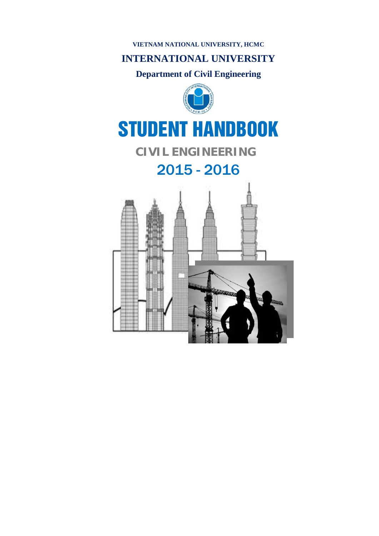### **VIETNAM NATIONAL UNIVERSITY, HCMC**

# **INTERNATIONAL UNIVERSITY**

# **Department of Civil Engineering**



# STUDENT HANDBOOK

# **CIVIL ENGINEERING**

# 2015 - 2016

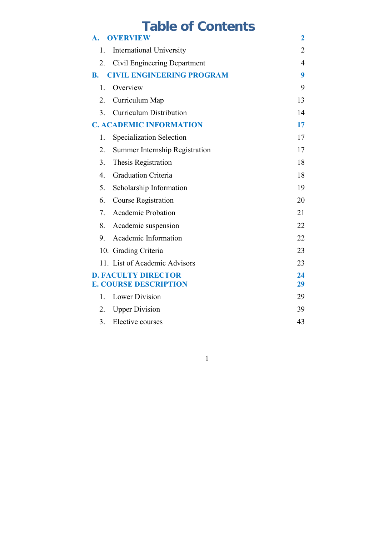# **Table of Contents**

| $\mathbf{A}$ .   | <b>OVERVIEW</b>                                            | $\mathbf 2$    |
|------------------|------------------------------------------------------------|----------------|
| 1.               | <b>International University</b>                            | $\overline{2}$ |
| 2.               | Civil Engineering Department                               | 4              |
| <b>B.</b>        | <b>CIVIL ENGINEERING PROGRAM</b>                           | 9              |
| 1.               | Overview                                                   | 9              |
| 2.               | Curriculum Map                                             | 13             |
| 3 <sub>1</sub>   | <b>Curriculum Distribution</b>                             | 14             |
|                  | <b>C. ACADEMIC INFORMATION</b>                             | 17             |
| 1.               | Specialization Selection                                   | 17             |
| 2.               | Summer Internship Registration                             | 17             |
| 3.               | Thesis Registration                                        | 18             |
| $\overline{4}$ . | <b>Graduation Criteria</b>                                 | 18             |
| 5.               | Scholarship Information                                    | 19             |
| 6.               | <b>Course Registration</b>                                 | 20             |
| 7.               | <b>Academic Probation</b>                                  | 21             |
| 8.               | Academic suspension                                        | 22             |
| 9.               | Academic Information                                       | 22             |
|                  | 10. Grading Criteria                                       | 23             |
|                  | 11. List of Academic Advisors                              | 23             |
|                  | <b>D. FACULTY DIRECTOR</b><br><b>E. COURSE DESCRIPTION</b> | 24<br>29       |
| 1.               | <b>Lower Division</b>                                      | 29             |
| 2.               | <b>Upper Division</b>                                      | 39             |
| 3.               | Elective courses                                           | 43             |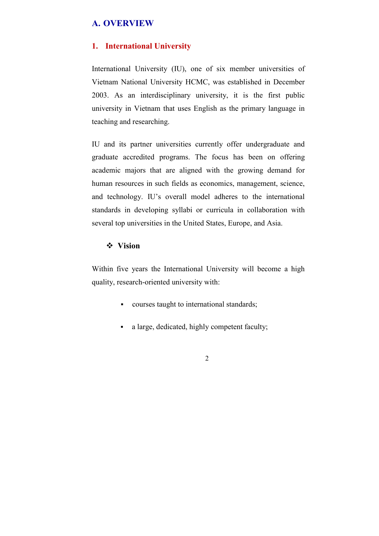# **A. OVERVIEW**

### **1. International University**

International University (IU), one of six member universities of Vietnam National University HCMC, was established in December 2003. As an interdisciplinary university, it is the first public university in Vietnam that uses English as the primary language in teaching and researching.

IU and its partner universities currently offer undergraduate and graduate accredited programs. The focus has been on offering academic majors that are aligned with the growing demand for human resources in such fields as economics, management, science, and technology. IU's overall model adheres to the international standards in developing syllabi or curricula in collaboration with several top universities in the United States, Europe, and Asia.

### **Vision**

Within five years the International University will become a high quality, research-oriented university with:

- courses taught to international standards;
- a large, dedicated, highly competent faculty;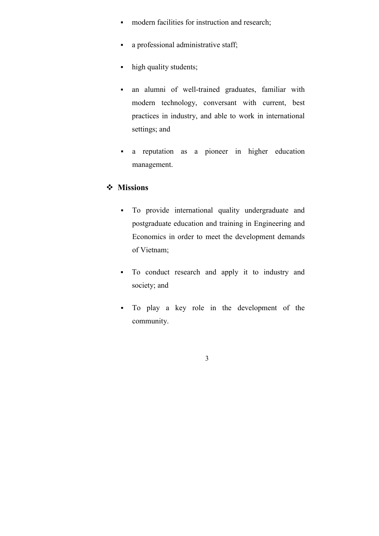- modern facilities for instruction and research;
- a professional administrative staff;
- high quality students;
- an alumni of well-trained graduates, familiar with modern technology, conversant with current, best practices in industry, and able to work in international settings; and
- a reputation as a pioneer in higher education management.

### **Missions**

- To provide international quality undergraduate and postgraduate education and training in Engineering and Economics in order to meet the development demands of Vietnam;
- To conduct research and apply it to industry and society; and
- To play a key role in the development of the community.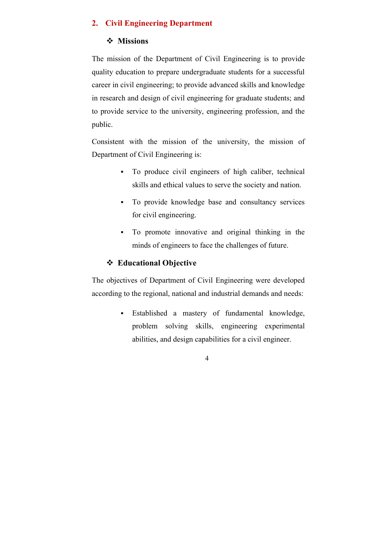# **2. Civil Engineering Department**

# **Missions**

The mission of the Department of Civil Engineering is to provide quality education to prepare undergraduate students for a successful career in civil engineering; to provide advanced skills and knowledge in research and design of civil engineering for graduate students; and to provide service to the university, engineering profession, and the public.

Consistent with the mission of the university, the mission of Department of Civil Engineering is:

- To produce civil engineers of high caliber, technical skills and ethical values to serve the society and nation.
- To provide knowledge base and consultancy services for civil engineering.
- To promote innovative and original thinking in the minds of engineers to face the challenges of future.

# **Educational Objective**

The objectives of Department of Civil Engineering were developed according to the regional, national and industrial demands and needs:

> Established a mastery of fundamental knowledge, problem solving skills, engineering experimental abilities, and design capabilities for a civil engineer.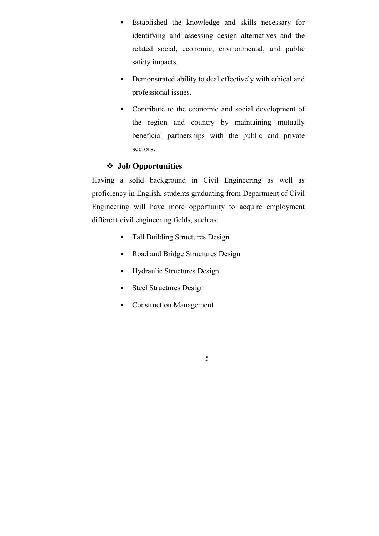- Established the knowledge and skills necessary for identifying and assessing design alternatives and the related social, economic, environmental, and public safety impacts.
- Demonstrated ability to deal effectively with ethical and professional issues.
- Contribute to the economic and social development of the region and country by maintaining mutually beneficial partnerships with the public and private sectors.

# **Job Opportunities**

Having a solid background in Civil Engineering as well as proficiency in English, students graduating from Department of Civil Engineering will have more opportunity to acquire employment different civil engineering fields, such as:

- Tall Building Structures Design
- Road and Bridge Structures Design
- Hydraulic Structures Design
- Steel Structures Design
- Construction Management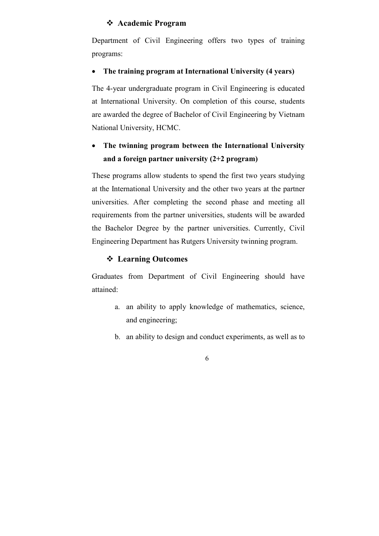### **Academic Program**

Department of Civil Engineering offers two types of training programs:

### **The training program at International University (4 years)**

The 4-year undergraduate program in Civil Engineering is educated at International University. On completion of this course, students are awarded the degree of Bachelor of Civil Engineering by Vietnam National University, HCMC.

# **The twinning program between the International University and a foreign partner university (2+2 program)**

These programs allow students to spend the first two years studying at the International University and the other two years at the partner universities. After completing the second phase and meeting all requirements from the partner universities, students will be awarded the Bachelor Degree by the partner universities. Currently, Civil Engineering Department has Rutgers University twinning program.

### **Learning Outcomes**

Graduates from Department of Civil Engineering should have attained:

- a. an ability to apply knowledge of mathematics, science, and engineering;
- b. an ability to design and conduct experiments, as well as to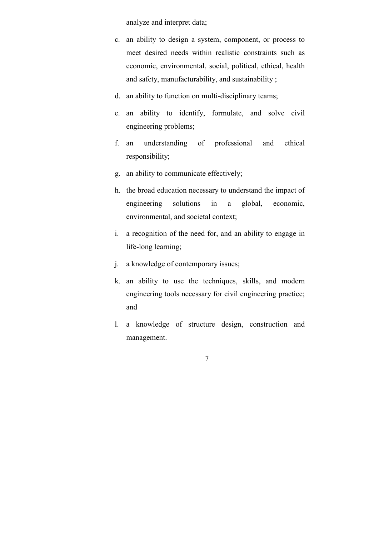analyze and interpret data;

- c. an ability to design a system, component, or process to meet desired needs within realistic constraints such as economic, environmental, social, political, ethical, health and safety, manufacturability, and sustainability ;
- d. an ability to function on multi-disciplinary teams;
- e. an ability to identify, formulate, and solve civil engineering problems;
- f. an understanding of professional and ethical responsibility;
- g. an ability to communicate effectively;
- h. the broad education necessary to understand the impact of engineering solutions in a global, economic, environmental, and societal context;
- i. a recognition of the need for, and an ability to engage in life-long learning;
- j. a knowledge of contemporary issues;
- k. an ability to use the techniques, skills, and modern engineering tools necessary for civil engineering practice; and
- l. a knowledge of structure design, construction and management.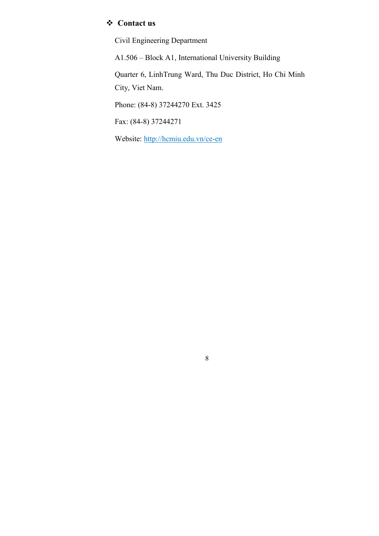# **Contact us**

Civil Engineering Department

A1.506 – Block A1, International University Building Quarter 6, LinhTrung Ward, Thu Duc District, Ho Chi Minh City, Viet Nam. Phone: (84-8) 37244270 Ext. 3425

8

Fax: (84-8) 37244271

Website: http://hcmiu.edu.vn/ce-en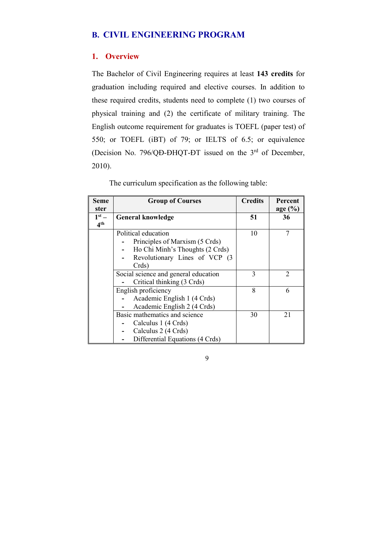## **B. CIVIL ENGINEERING PROGRAM**

### **1. Overview**

The Bachelor of Civil Engineering requires at least **143 credits** for graduation including required and elective courses. In addition to these required credits, students need to complete (1) two courses of physical training and (2) the certificate of military training. The English outcome requirement for graduates is TOEFL (paper test) of 550; or TOEFL (iBT) of 79; or IELTS of 6.5; or equivalence (Decision No. 796/QĐ-ĐHQT-ĐT issued on the 3rd of December, 2010).

The curriculum specification as the following table:

| <b>Seme</b>     | <b>Group of Courses</b>              | <b>Credits</b> | Percent     |
|-----------------|--------------------------------------|----------------|-------------|
| ster            |                                      |                | age $(\% )$ |
| $1st$ –         | <b>General knowledge</b>             | 51             | 36          |
| 4 <sup>th</sup> |                                      |                |             |
|                 | Political education                  | 10             |             |
|                 | Principles of Marxism (5 Crds)       |                |             |
|                 | Ho Chi Minh's Thoughts (2 Crds)      |                |             |
|                 | Revolutionary Lines of VCP (3        |                |             |
|                 | Crds)                                |                |             |
|                 | Social science and general education | 3              | 2           |
|                 | Critical thinking (3 Crds)           |                |             |
|                 | English proficiency                  | 8              | 6           |
|                 | Academic English 1 (4 Crds)          |                |             |
|                 | Academic English 2 (4 Crds)          |                |             |
|                 | Basic mathematics and science        | 30             | 21          |
|                 | Calculus 1 (4 Crds)                  |                |             |
|                 | Calculus 2 (4 Crds)                  |                |             |
|                 | Differential Equations (4 Crds)      |                |             |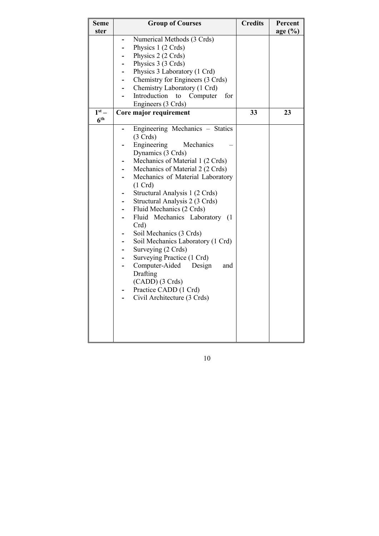| <b>Seme</b><br>ster | <b>Group of Courses</b>                        | <b>Credits</b> | Percent<br>age $(\%)$ |
|---------------------|------------------------------------------------|----------------|-----------------------|
|                     |                                                |                |                       |
|                     | Numerical Methods (3 Crds)                     |                |                       |
|                     | Physics 1 (2 Crds)                             |                |                       |
|                     | Physics 2 (2 Crds)                             |                |                       |
|                     | Physics 3 (3 Crds)                             |                |                       |
|                     | Physics 3 Laboratory (1 Crd)                   |                |                       |
|                     | Chemistry for Engineers (3 Crds)<br>Ξ.         |                |                       |
|                     | Chemistry Laboratory (1 Crd)<br>$\blacksquare$ |                |                       |
|                     | Introduction<br>Computer<br>for<br>to          |                |                       |
|                     | Engineers (3 Crds)                             |                |                       |
| $1st$ –             | Core major requirement                         | 33             | 23                    |
| 6 <sup>th</sup>     |                                                |                |                       |
|                     | Engineering Mechanics - Statics                |                |                       |
|                     | (3 Crds)                                       |                |                       |
|                     | Engineering<br>Mechanics                       |                |                       |
|                     | Dynamics (3 Crds)                              |                |                       |
|                     | Mechanics of Material 1 (2 Crds)               |                |                       |
|                     | Mechanics of Material 2 (2 Crds)               |                |                       |
|                     | Mechanics of Material Laboratory               |                |                       |
|                     | $(1 \text{ Crd})$                              |                |                       |
|                     | Structural Analysis 1 (2 Crds)                 |                |                       |
|                     | Structural Analysis 2 (3 Crds)                 |                |                       |
|                     | Fluid Mechanics (2 Crds)                       |                |                       |
|                     | Fluid Mechanics Laboratory<br>(1)              |                |                       |
|                     | Crd                                            |                |                       |
|                     | Soil Mechanics (3 Crds)<br>-                   |                |                       |
|                     | Soil Mechanics Laboratory (1 Crd)              |                |                       |
|                     | Surveying (2 Crds)                             |                |                       |
|                     | Surveying Practice (1 Crd)                     |                |                       |
|                     | Computer-Aided<br>Design<br>and<br>-           |                |                       |
|                     | Drafting                                       |                |                       |
|                     | (CADD) (3 Crds)                                |                |                       |
|                     | Practice CADD (1 Crd)                          |                |                       |
|                     | Civil Architecture (3 Crds)                    |                |                       |
|                     |                                                |                |                       |
|                     |                                                |                |                       |
|                     |                                                |                |                       |
|                     |                                                |                |                       |
|                     |                                                |                |                       |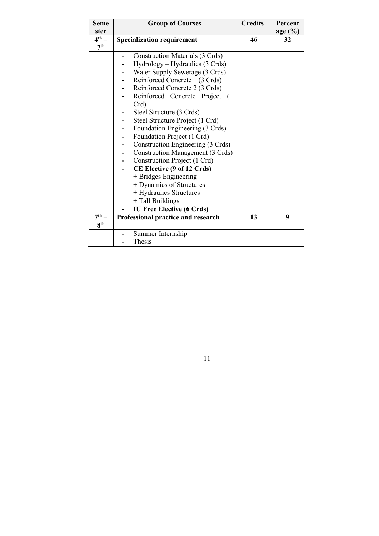| <b>Seme</b>       | <b>Group of Courses</b>                 | <b>Credits</b> | Percent    |
|-------------------|-----------------------------------------|----------------|------------|
| ster              |                                         |                | age $(\%)$ |
| $4^{\text{th}}$ – | <b>Specialization requirement</b>       | 46             | 32         |
| 7 <sup>th</sup>   |                                         |                |            |
|                   | <b>Construction Materials (3 Crds)</b>  |                |            |
|                   | Hydrology – Hydraulics (3 Crds)         |                |            |
|                   | Water Supply Sewerage (3 Crds)          |                |            |
|                   | Reinforced Concrete 1 (3 Crds)          |                |            |
|                   | Reinforced Concrete 2 (3 Crds)          |                |            |
|                   | Reinforced Concrete Project (1)         |                |            |
|                   | Crd)                                    |                |            |
|                   | Steel Structure (3 Crds)                |                |            |
|                   | Steel Structure Project (1 Crd)         |                |            |
|                   | Foundation Engineering (3 Crds)         |                |            |
|                   | Foundation Project (1 Crd)              |                |            |
|                   | Construction Engineering (3 Crds)       |                |            |
|                   | <b>Construction Management (3 Crds)</b> |                |            |
|                   | Construction Project (1 Crd)            |                |            |
|                   | CE Elective (9 of 12 Crds)              |                |            |
|                   | + Bridges Engineering                   |                |            |
|                   | + Dynamics of Structures                |                |            |
|                   | + Hydraulics Structures                 |                |            |
|                   | + Tall Buildings                        |                |            |
|                   | <b>IU Free Elective (6 Crds)</b>        |                |            |
| $7^{\text{th}}$   | Professional practice and research      | 13             | 9          |
| 8 <sup>th</sup>   |                                         |                |            |
|                   | Summer Internship                       |                |            |
|                   | Thesis                                  |                |            |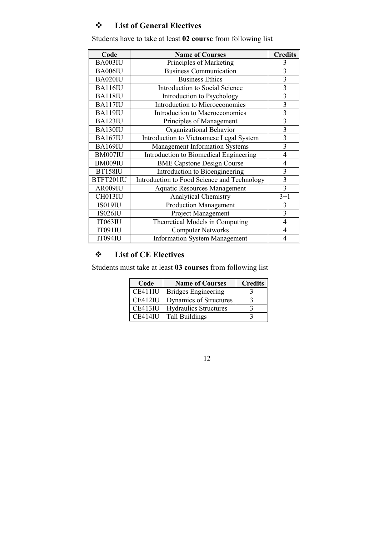# **List of General Electives**

| Code           | <b>Name of Courses</b>                      | <b>Credits</b>          |
|----------------|---------------------------------------------|-------------------------|
| BA003IU        | Principles of Marketing                     | 3                       |
| BA006IU        | <b>Business Communication</b>               | $\overline{3}$          |
| BA020IU        | <b>Business Ethics</b>                      | $\overline{3}$          |
| <b>BA116IU</b> | Introduction to Social Science              | $\overline{3}$          |
| <b>BA118IU</b> | Introduction to Psychology                  | $\overline{\mathbf{3}}$ |
| <b>BA117IU</b> | Introduction to Microeconomics              | 3                       |
| <b>BA119IU</b> | Introduction to Macroeconomics              | $\overline{3}$          |
| BA123IU        | Principles of Management                    | 3                       |
| BA130IU        | Organizational Behavior                     | $\overline{3}$          |
| <b>BA167IU</b> | Introduction to Vietnamese Legal System     | $\overline{3}$          |
| <b>BA169IU</b> | Management Information Systems              | $\overline{\mathbf{3}}$ |
| BM007IU        | Introduction to Biomedical Engineering      | 4                       |
| BM009IU        | <b>BME Capstone Design Course</b>           | 4                       |
| <b>BT158IU</b> | Introduction to Bioengineering              | 3                       |
| BTFT201IU      | Introduction to Food Science and Technology | $\overline{3}$          |
| AR009IU        | <b>Aquatic Resources Management</b>         | 3                       |
| CH013IU        | <b>Analytical Chemistry</b>                 | $3 + 1$                 |
| <b>IS019IU</b> | <b>Production Management</b>                | 3                       |
| <b>IS026IU</b> | Project Management                          | $\overline{3}$          |
| IT063IU        | Theoretical Models in Computing             | 4                       |
| IT091IU        | <b>Computer Networks</b>                    | 4                       |
| <b>IT094IU</b> | <b>Information System Management</b>        | 4                       |

Students have to take at least **02 course** from following list

# **List of CE Electives**

Students must take at least **03 courses** from following list

| Code           | <b>Name of Courses</b>       | <b>Credits</b> |
|----------------|------------------------------|----------------|
| CE411IU        | <b>Bridges Engineering</b>   |                |
| CE412IU        | Dynamics of Structures       |                |
| CE413IU        | <b>Hydraulics Structures</b> |                |
| <b>CE414IU</b> | <b>Tall Buildings</b>        |                |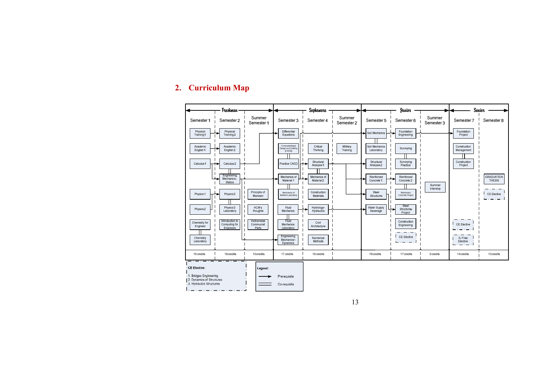### **2. Curriculum Map**

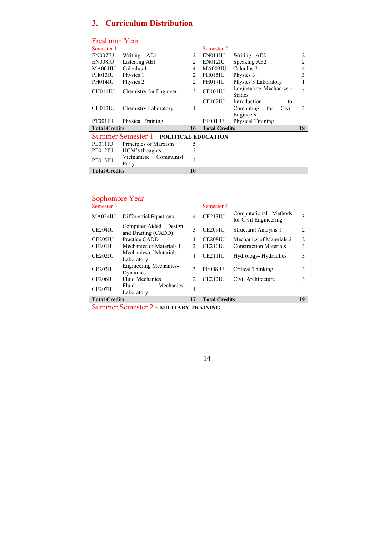# **3. Curriculum Distribution**

| Freshman Year        |                                         |                |                      |                                           |                |
|----------------------|-----------------------------------------|----------------|----------------------|-------------------------------------------|----------------|
| Semester 1           |                                         |                | Semester 2           |                                           |                |
| EN007IU              | Writing<br>AE1                          | 2              | EN011IU              | Writing AE2                               | $\overline{c}$ |
| EN008IU              | Listening AE1                           | $\mathfrak{D}$ | EN012IU              | Speaking AE2                              | 2              |
| MA001IU              | Calculus 1                              | 4              | MA003IU              | Calculus <sub>2</sub>                     | 4              |
| PH013IU              | Physics 1                               | $\mathfrak{D}$ | PH015IU              | Physics 3                                 | 3              |
| PH014IU              | Physics 2                               | $\mathfrak{D}$ | PH017IU              | Physics 3 Laboratory                      |                |
| CH011IU              | Chemistry for Engineer                  | 3              | CE101IU              | Engineering Mechanics -<br><b>Statics</b> | 3              |
|                      |                                         |                | CE102IU              | Introduction<br>to                        |                |
| CH012IU              | Chemistry Laboratory                    | 1              |                      | Computing<br>Civil<br>for                 | 3              |
|                      |                                         |                |                      | Engineers                                 |                |
| PT001IU              | Physical Training                       |                | PT001IU              | Physical Training                         |                |
| <b>Total Credits</b> |                                         | 16             | <b>Total Credits</b> |                                           | 18             |
|                      | Summer Semester 1 - POLITICAL EDUCATION |                |                      |                                           |                |
| PE011IU              | Principles of Marxism                   | 5              |                      |                                           |                |
| PE012IU              | HCM's thoughts                          | $\mathfrak{D}$ |                      |                                           |                |
| PE013IU              | Vietnamese<br>Communist<br>Party        | 3              |                      |                                           |                |
| <b>Total Credits</b> |                                         | 10             |                      |                                           |                |

| Sophomore Year       |                                              |                |                      |                                                |                |
|----------------------|----------------------------------------------|----------------|----------------------|------------------------------------------------|----------------|
| Semester 3           |                                              |                | Semester 4           |                                                |                |
| MA024IU              | Differential Equations                       | 4              | <b>CE213IU</b>       | Computational Methods<br>for Civil Engineering | 3              |
| CE204IU              | Computer-Aided Design<br>and Drafting (CADD) | 3              | <b>CE209IU</b>       | Structural Analysis 1                          | $\mathfrak{D}$ |
| CE <sub>205</sub> IU | Practice CADD                                |                | CE208IU              | Mechanics of Materials 2                       | $\mathcal{L}$  |
| CE201IU              | Mechanics of Materials 1                     | $\mathcal{D}$  | CE210IU              | <b>Construction Materials</b>                  | 3              |
| <b>CE202IU</b>       | Mechanics of Materials<br>Laboratory         | 1              | CE211IU              | Hydrology-Hydraulics                           | 3              |
| <b>CE203IU</b>       | <b>Engineering Mechanics-</b><br>Dynamics    | 3              | PE008IU              | Critical Thinking                              | 3              |
| <b>CE206IU</b>       | Fluid Mechanics                              | $\mathfrak{D}$ | <b>CE212IU</b>       | Civil Architecture                             | 3              |
| CE207IU              | Mechanics<br>Fluid<br>Laboratory             | ı              |                      |                                                |                |
| <b>Total Credits</b> |                                              | 17             | <b>Total Credits</b> |                                                | 19             |

Summer Semester 2 - **MILITARY TRAINING**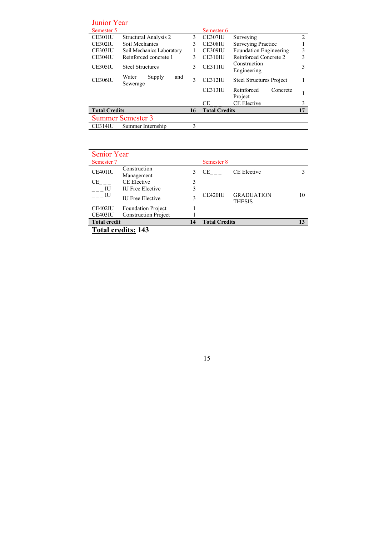| <b>Junior Year</b>   |                                    |    |                      |                                   |                |
|----------------------|------------------------------------|----|----------------------|-----------------------------------|----------------|
| Semester 5           |                                    |    | Semester 6           |                                   |                |
| CE301IU              | Structural Analysis 2              | 3  | CE307IU              | Surveying                         | $\overline{c}$ |
| CE302IU              | Soil Mechanics                     | 3  | <b>CE308IU</b>       | <b>Surveying Practice</b>         |                |
| <b>CE303IU</b>       | Soil Mechanics Laboratory          |    | CE309IU              | <b>Foundation Engineering</b>     | 3              |
| CE304IU              | Reinforced concrete 1              | 3  | CE310IU              | Reinforced Concrete 2             | 3              |
| <b>CE305IU</b>       | <b>Steel Structures</b>            | 3  | CE311IU              | Construction<br>Engineering       | 3              |
| <b>CE306IU</b>       | Water<br>Supply<br>and<br>Sewerage | 3  | CE312 <sub>II</sub>  | <b>Steel Structures Project</b>   |                |
|                      |                                    |    | <b>CE313IU</b>       | Reinforced<br>Concrete<br>Project |                |
|                      |                                    |    | CE.                  | <b>CE Elective</b>                | 3              |
| <b>Total Credits</b> |                                    | 16 | <b>Total Credits</b> |                                   | 17             |
|                      | <b>Summer Semester 3</b>           |    |                      |                                   |                |
| CE314IU              | Summer Internship                  | 3  |                      |                                   |                |

| <b>Senior Year</b>  |                             |    |                      |                                    |    |
|---------------------|-----------------------------|----|----------------------|------------------------------------|----|
| Semester 7          |                             |    | Semester 8           |                                    |    |
| CE401IU             | Construction<br>Management  | 3  | CE.                  | <b>CE Elective</b>                 |    |
| CE                  | CE Elective                 | 3  |                      |                                    |    |
| <b>IU</b>           | <b>IU</b> Free Elective     | 3  |                      |                                    |    |
| $---$ IU            | <b>IU Free Elective</b>     |    | CE420IU              | <b>GRADUATION</b><br><b>THESIS</b> | 10 |
| CE402IU             | <b>Foundation Project</b>   |    |                      |                                    |    |
| CE403IU             | <b>Construction Project</b> |    |                      |                                    |    |
| <b>Total credit</b> |                             | 14 | <b>Total Credits</b> |                                    | 13 |
|                     | .                           |    |                      |                                    |    |

**Total credits: 143**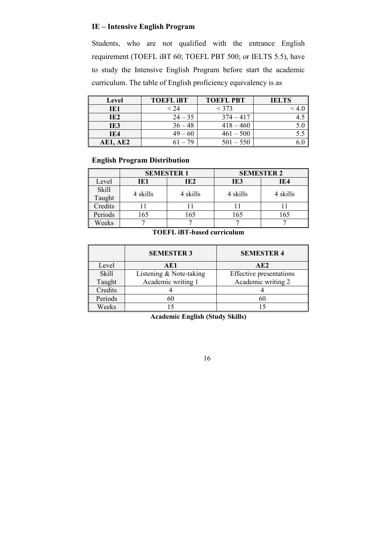# **IE – Intensive English Program**

Students, who are not qualified with the entrance English requirement (TOEFL iBT 60; TOEFL PBT 500; or IELTS 5.5), have to study the Intensive English Program before start the academic curriculum. The table of English proficiency equivalency is as

| Level           | <b>TOEFL IBT</b> | <b>TOEFL PBT</b> | <b>IELTS</b> |
|-----------------|------------------|------------------|--------------|
| IE1             | $<$ 24 $\,$      | $<$ 373          |              |
| IE <sub>2</sub> | $24 - 35$        | $374 - 417$      |              |
| IE3             | $36 - 48$        | $418 - 460$      |              |
| IE4             | $49 - 60$        | $461 - 500$      |              |
| <b>AE1, AE2</b> | 70               | $501 - 550$      |              |

### **English Program Distribution**

|                 |          | <b>SEMESTER 1</b> | <b>SEMESTER 2</b> |          |  |
|-----------------|----------|-------------------|-------------------|----------|--|
| Level           | IE1      | IE <sub>2</sub>   | IE3               | IE4      |  |
| Skill<br>Taught | 4 skills | 4 skills          | 4 skills          | 4 skills |  |
| Credits         |          |                   |                   |          |  |
| Periods         | 165      | 165               | 165               | 165      |  |
| Weeks           |          |                   |                   |          |  |

### **TOEFL iBT-based curriculum**

|         | <b>SEMESTER 3</b>       | <b>SEMESTER 4</b>              |
|---------|-------------------------|--------------------------------|
| Level   | AE1                     | AE2                            |
| Skill   | Listening & Note-taking | <b>Effective</b> presentations |
| Taught  | Academic writing 1      | Academic writing 2             |
| Credits |                         |                                |
| Periods |                         |                                |
| Weeks   |                         |                                |

**Academic English (Study Skills)**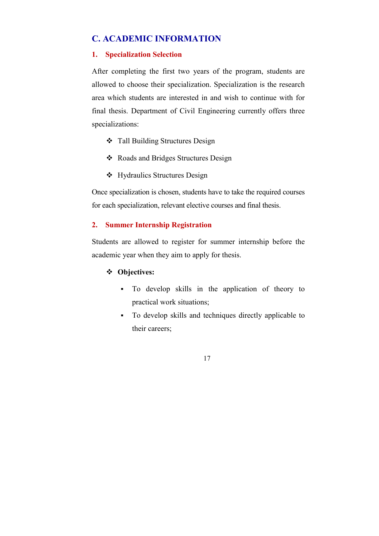# **C. ACADEMIC INFORMATION**

### **1. Specialization Selection**

After completing the first two years of the program, students are allowed to choose their specialization. Specialization is the research area which students are interested in and wish to continue with for final thesis. Department of Civil Engineering currently offers three specializations:

- Tall Building Structures Design
- ❖ Roads and Bridges Structures Design
- Hydraulics Structures Design

Once specialization is chosen, students have to take the required courses for each specialization, relevant elective courses and final thesis.

### **2. Summer Internship Registration**

Students are allowed to register for summer internship before the academic year when they aim to apply for thesis.

### **Objectives:**

- To develop skills in the application of theory to practical work situations;
- To develop skills and techniques directly applicable to their careers;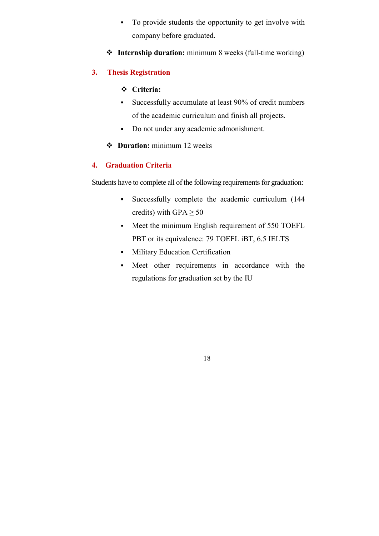- To provide students the opportunity to get involve with company before graduated.
- **Internship duration:** minimum 8 weeks (full-time working)

# **3. Thesis Registration**

### **Criteria:**

- Successfully accumulate at least 90% of credit numbers of the academic curriculum and finish all projects.
- Do not under any academic admonishment.
- **Duration:** minimum 12 weeks

## **4. Graduation Criteria**

Students have to complete all of the following requirements for graduation:

- Successfully complete the academic curriculum (144 credits) with GPA  $\geq 50$
- Meet the minimum English requirement of 550 TOEFL PBT or its equivalence: 79 TOEFL iBT, 6.5 IELTS
- **Military Education Certification**
- Meet other requirements in accordance with the regulations for graduation set by the IU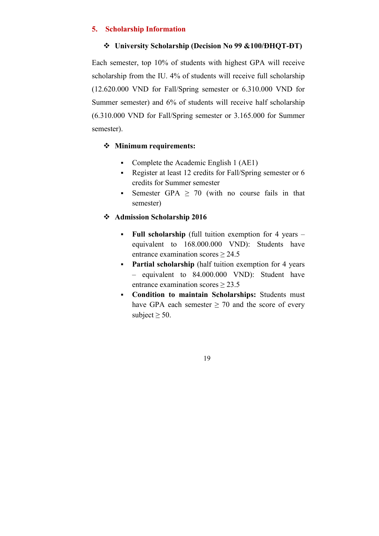### **5. Scholarship Information**

### **University Scholarship (Decision No 99 &100/ĐHQT-ĐT)**

Each semester, top 10% of students with highest GPA will receive scholarship from the IU. 4% of students will receive full scholarship (12.620.000 VND for Fall/Spring semester or 6.310.000 VND for Summer semester) and 6% of students will receive half scholarship (6.310.000 VND for Fall/Spring semester or 3.165.000 for Summer semester).

### **Minimum requirements:**

- Complete the Academic English 1 (AE1)
- Register at least 12 credits for Fall/Spring semester or 6 credits for Summer semester
- Semester GPA  $\geq$  70 (with no course fails in that semester)

### **Admission Scholarship 2016**

- **Full scholarship** (full tuition exemption for 4 years equivalent to 168.000.000 VND): Students have entrance examination scores > 24.5
- **Partial scholarship** (half tuition exemption for 4 years – equivalent to 84.000.000 VND): Student have entrance examination scores ≥ 23.5
- **Condition to maintain Scholarships:** Students must have GPA each semester  $\geq$  70 and the score of every subject  $\geq 50$ .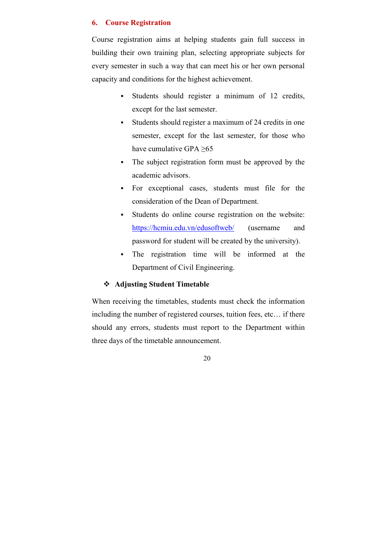### **6. Course Registration**

Course registration aims at helping students gain full success in building their own training plan, selecting appropriate subjects for every semester in such a way that can meet his or her own personal capacity and conditions for the highest achievement.

- Students should register a minimum of 12 credits, except for the last semester.
- Students should register a maximum of 24 credits in one semester, except for the last semester, for those who have cumulative GPA  $\geq 65$
- The subject registration form must be approved by the academic advisors.
- For exceptional cases, students must file for the consideration of the Dean of Department.
- Students do online course registration on the website: https://hcmiu.edu.vn/edusoftweb/ (username and password for student will be created by the university).
- The registration time will be informed at the Department of Civil Engineering.

### **Adjusting Student Timetable**

When receiving the timetables, students must check the information including the number of registered courses, tuition fees, etc… if there should any errors, students must report to the Department within three days of the timetable announcement.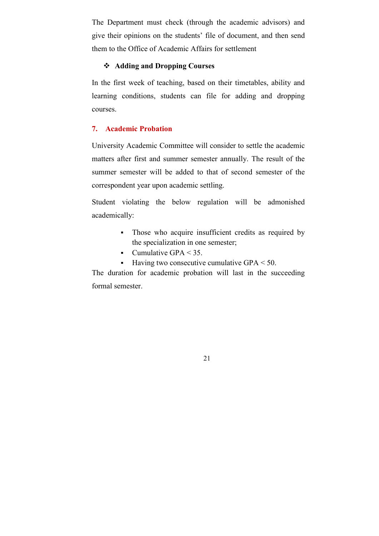The Department must check (through the academic advisors) and give their opinions on the students' file of document, and then send them to the Office of Academic Affairs for settlement

### **Adding and Dropping Courses**

In the first week of teaching, based on their timetables, ability and learning conditions, students can file for adding and dropping courses.

### **7. Academic Probation**

University Academic Committee will consider to settle the academic matters after first and summer semester annually. The result of the summer semester will be added to that of second semester of the correspondent year upon academic settling.

Student violating the below regulation will be admonished academically:

- Those who acquire insufficient credits as required by the specialization in one semester;
- Cumulative GPA  $<$  35.
- Having two consecutive cumulative  $GPA < 50$ .

The duration for academic probation will last in the succeeding formal semester.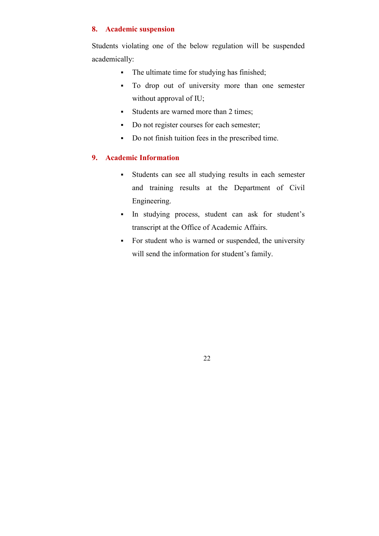### **8. Academic suspension**

Students violating one of the below regulation will be suspended academically:

- The ultimate time for studying has finished;
- To drop out of university more than one semester without approval of IU;
- Students are warned more than 2 times;
- Do not register courses for each semester;
- Do not finish tuition fees in the prescribed time.

### **9. Academic Information**

- Students can see all studying results in each semester and training results at the Department of Civil Engineering.
- In studying process, student can ask for student's transcript at the Office of Academic Affairs.
- For student who is warned or suspended, the university will send the information for student's family.

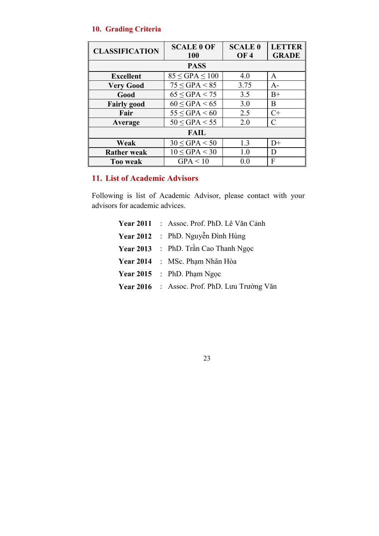### **10. Grading Criteria**

| <b>CLASSIFICATION</b> | <b>SCALE 0 OF</b><br><b>100</b> | <b>SCALE 0</b><br><b>OF4</b> | <b>LETTER</b><br><b>GRADE</b> |
|-----------------------|---------------------------------|------------------------------|-------------------------------|
| <b>PASS</b>           |                                 |                              |                               |
| <b>Excellent</b>      | $85 \leq GPA \leq 100$          | 4.0                          | A                             |
| <b>Very Good</b>      | $75 \leq GPA < 85$              | 3.75                         | $A-$                          |
| Good                  | $65 \leq GPA < 75$              | 3.5                          | $B+$                          |
| <b>Fairly good</b>    | $60 \leq GPA < 65$              | 3.0                          | В                             |
| Fair                  | $55 \leq GPA < 60$              | 2.5                          | $C+$                          |
| Average               | $50 \leq GPA < 55$              | 2.0                          | C                             |
| <b>FAIL</b>           |                                 |                              |                               |
| Weak                  | $30 \leq GPA < 50$              | 1.3                          | $D+$                          |
| <b>Rather weak</b>    | $10 \leq GPA < 30$              | 1.0                          | D                             |
| <b>Too weak</b>       | GPA < 10                        | 0.0                          | F                             |

# **11. List of Academic Advisors**

Following is list of Academic Advisor, please contact with your advisors for academic advices.

> **Year 2011** : Assoc. Prof. PhD. Lê Văn Cảnh **Year 2012** : PhD. Nguyễn Đình Hùng **Year 2013** : PhD. Trần Cao Thanh Ngọc **Year 2014** : MSc. Phạm Nhân Hòa **Year 2015** : PhD. Phạm Ngọc **Year 2016** : Assoc. Prof. PhD. Lưu Trường Văn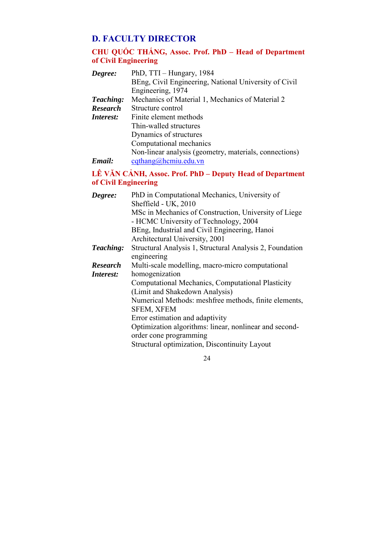# **D. FACULTY DIRECTOR**

# **CHU QUỐC THẮNG, Assoc. Prof. PhD – Head of Department of Civil Engineering**

| Degree:          | PhD, TTI - Hungary, 1984                               |
|------------------|--------------------------------------------------------|
|                  | BEng, Civil Engineering, National University of Civil  |
|                  | Engineering, 1974                                      |
| Teaching:        | Mechanics of Material 1, Mechanics of Material 2       |
| <b>Research</b>  | Structure control                                      |
| <i>Interest:</i> | Finite element methods                                 |
|                  | Thin-walled structures                                 |
|                  | Dynamics of structures                                 |
|                  | Computational mechanics                                |
|                  | Non-linear analysis (geometry, materials, connections) |
| Email:           | $c$ qthang@hcmiu.edu.vn                                |

# **LÊ VĂN CẢNH, Assoc. Prof. PhD – Deputy Head of Department of Civil Engineering**

| Degree:         | PhD in Computational Mechanics, University of            |
|-----------------|----------------------------------------------------------|
|                 | Sheffield - UK, 2010                                     |
|                 | MSc in Mechanics of Construction, University of Liege    |
|                 | - HCMC University of Technology, 2004                    |
|                 | BEng, Industrial and Civil Engineering, Hanoi            |
|                 | Architectural University, 2001                           |
| Teaching:       | Structural Analysis 1, Structural Analysis 2, Foundation |
|                 | engineering                                              |
| <b>Research</b> | Multi-scale modelling, macro-micro computational         |
| Interest:       | homogenization                                           |
|                 | Computational Mechanics, Computational Plasticity        |
|                 | (Limit and Shakedown Analysis)                           |
|                 | Numerical Methods: meshfree methods, finite elements,    |
|                 | <b>SFEM, XFEM</b>                                        |
|                 | Error estimation and adaptivity                          |
|                 | Optimization algorithms: linear, nonlinear and second-   |
|                 | order cone programming                                   |
|                 | Structural optimization, Discontinuity Layout            |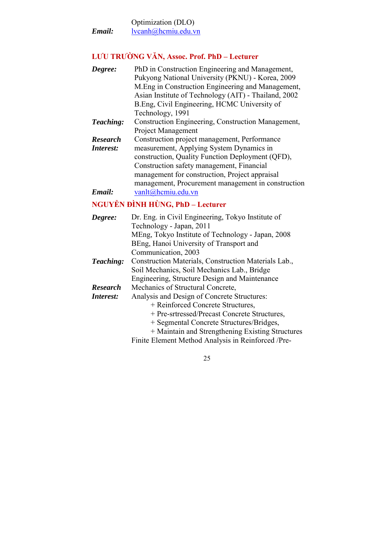Optimization (DLO) *Email:* lvcanh@hcmiu.edu.vn

# **LƯU TRƯỜNG VĂN, Assoc. Prof. PhD – Lecturer**

| Degree:         | PhD in Construction Engineering and Management,      |
|-----------------|------------------------------------------------------|
|                 | Pukyong National University (PKNU) - Korea, 2009     |
|                 | M. Eng in Construction Engineering and Management,   |
|                 | Asian Institute of Technology (AIT) - Thailand, 2002 |
|                 | B.Eng, Civil Engineering, HCMC University of         |
|                 | Technology, 1991                                     |
| Teaching:       | Construction Engineering, Construction Management,   |
|                 | <b>Project Management</b>                            |
| <b>Research</b> | Construction project management, Performance         |
| Interest:       | measurement, Applying System Dynamics in             |
|                 | construction, Quality Function Deployment (QFD),     |
|                 | Construction safety management, Financial            |
|                 | management for construction, Project appraisal       |
|                 | management, Procurement management in construction   |
| Email:          | vanlt@hcmiu.edu.vn                                   |
|                 | <b>NGUYỄN ĐÌNH HÙNG, PhD – Lecturer</b>              |
| Degree:         | Dr. Eng. in Civil Engineering, Tokyo Institute of    |
|                 | Technology - Japan, 2011                             |
|                 | MEng, Tokyo Institute of Technology - Japan, 2008    |
|                 | BEng, Hanoi University of Transport and              |
|                 | Communication, 2003                                  |
| Teaching:       | Construction Materials, Construction Materials Lab., |
|                 | Soil Mechanics, Soil Mechanics Lab., Bridge          |
|                 | Engineering, Structure Design and Maintenance        |
| <b>Research</b> | Mechanics of Structural Concrete,                    |
| Interest:       | Analysis and Design of Concrete Structures:          |
|                 | + Reinforced Concrete Structures,                    |
|                 | + Pre-srtressed/Precast Concrete Structures,         |
|                 |                                                      |
|                 | + Segmental Concrete Structures/Bridges,             |

Finite Element Method Analysis in Reinforced /Pre-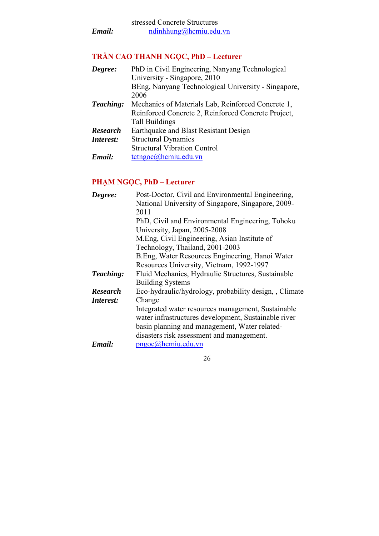# **TRẦN CAO THANH NGỌC, PhD – Lecturer**

| Degree:          | PhD in Civil Engineering, Nanyang Technological     |
|------------------|-----------------------------------------------------|
|                  | University - Singapore, 2010                        |
|                  | BEng, Nanyang Technological University - Singapore, |
|                  | 2006                                                |
| Teaching:        | Mechanics of Materials Lab, Reinforced Concrete 1,  |
|                  | Reinforced Concrete 2, Reinforced Concrete Project, |
|                  | <b>Tall Buildings</b>                               |
| <b>Research</b>  | Earthquake and Blast Resistant Design               |
| <i>Interest:</i> | <b>Structural Dynamics</b>                          |
|                  | <b>Structural Vibration Control</b>                 |
| Email:           | tetngoc@hemiu.edu.vn                                |
|                  |                                                     |

# **PHẠM NGỌC, PhD – Lecturer**

| Degree:         | Post-Doctor, Civil and Environmental Engineering,    |
|-----------------|------------------------------------------------------|
|                 | National University of Singapore, Singapore, 2009-   |
|                 | 2011                                                 |
|                 | PhD, Civil and Environmental Engineering, Tohoku     |
|                 | University, Japan, 2005-2008                         |
|                 | M. Eng, Civil Engineering, Asian Institute of        |
|                 | Technology, Thailand, 2001-2003                      |
|                 | B. Eng, Water Resources Engineering, Hanoi Water     |
|                 | Resources University, Vietnam, 1992-1997             |
| Teaching:       | Fluid Mechanics, Hydraulic Structures, Sustainable   |
|                 | <b>Building Systems</b>                              |
| <b>Research</b> | Eco-hydraulic/hydrology, probability design, Climate |
| Interest:       | Change                                               |
|                 | Integrated water resources management, Sustainable   |
|                 | water infrastructures development, Sustainable river |
|                 | basin planning and management, Water related-        |
|                 | disasters risk assessment and management.            |
| Email:          | pngoc@hcmiu.edu.vn                                   |
|                 |                                                      |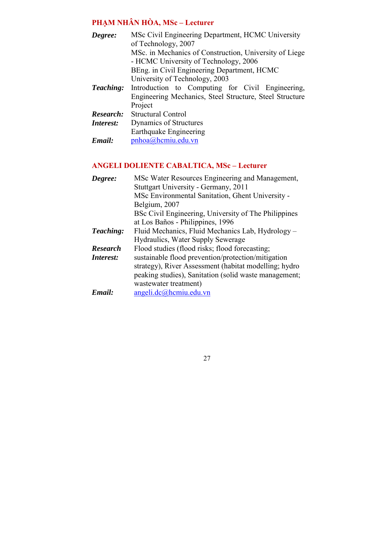# **PHẠM NHÂN HÒA, MSc – Lecturer**

| Degree:          | MSc Civil Engineering Department, HCMC University       |  |
|------------------|---------------------------------------------------------|--|
|                  | of Technology, 2007                                     |  |
|                  | MSc. in Mechanics of Construction, University of Liege  |  |
|                  | - HCMC University of Technology, 2006                   |  |
|                  | BEng. in Civil Engineering Department, HCMC             |  |
|                  | University of Technology, 2003                          |  |
| <b>Teaching:</b> | Introduction to Computing for Civil Engineering,        |  |
|                  | Engineering Mechanics, Steel Structure, Steel Structure |  |
|                  | Project                                                 |  |
| Research:        | <b>Structural Control</b>                               |  |
| Interest:        | Dynamics of Structures                                  |  |
|                  | Earthquake Engineering                                  |  |
| Email:           | pnhoa@hcmiu.edu.vn                                      |  |

# **ANGELI DOLIENTE CABALTICA, MSc – Lecturer**

| Degree:          | MSc Water Resources Engineering and Management,       |
|------------------|-------------------------------------------------------|
|                  | Stuttgart University - Germany, 2011                  |
|                  | MSc Environmental Sanitation, Ghent University -      |
|                  | Belgium, 2007                                         |
|                  | BSc Civil Engineering, University of The Philippines  |
|                  | at Los Baños - Philippines, 1996                      |
| Teaching:        | Fluid Mechanics, Fluid Mechanics Lab, Hydrology –     |
|                  | Hydraulics, Water Supply Sewerage                     |
| <b>Research</b>  | Flood studies (flood risks; flood forecasting;        |
| <i>Interest:</i> | sustainable flood prevention/protection/mitigation    |
|                  | strategy), River Assessment (habitat modelling; hydro |
|                  | peaking studies), Sanitation (solid waste management; |
|                  | wastewater treatment)                                 |
| Email:           | $angleidc(\omega)$ hcmiu.edu.vn                       |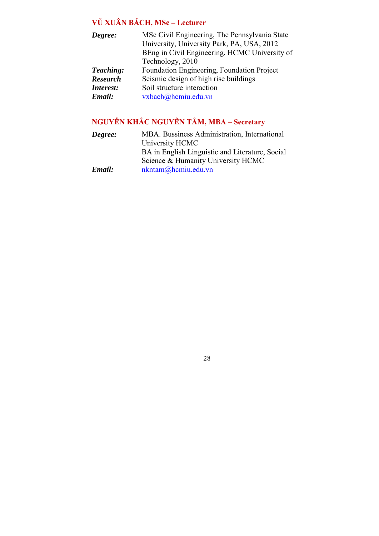# **VŨ XUÂN BÁCH, MSc – Lecturer**

| Degree:         | MSc Civil Engineering, The Pennsylvania State |
|-----------------|-----------------------------------------------|
|                 | University, University Park, PA, USA, 2012    |
|                 | BEng in Civil Engineering, HCMC University of |
|                 | Technology, 2010                              |
| Teaching:       | Foundation Engineering, Foundation Project    |
| <b>Research</b> | Seismic design of high rise buildings         |
| Interest:       | Soil structure interaction                    |
| Email:          | vxbach@hcmiu.edu.vn                           |
|                 |                                               |

# **NGUYỄN KHẮC NGUYÊN TÂM, MBA – Secretary**

| Degree: | MBA. Bussiness Administration, International    |
|---------|-------------------------------------------------|
|         | University HCMC                                 |
|         | BA in English Linguistic and Literature, Social |
|         | Science & Humanity University HCMC              |
| Email:  | $n$ kntam $\omega$ hcmiu.edu.vn                 |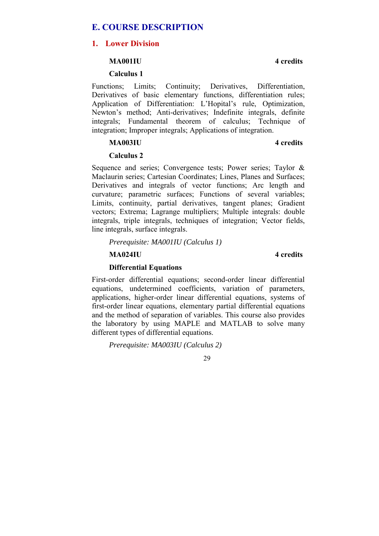## **E. COURSE DESCRIPTION**

### **1. Lower Division**

### **MA001IU 4 credits**

### **Calculus 1**

Functions; Limits; Continuity; Derivatives, Differentiation, Derivatives of basic elementary functions, differentiation rules; Application of Differentiation: L'Hopital's rule, Optimization, Newton's method; Anti-derivatives; Indefinite integrals, definite integrals; Fundamental theorem of calculus; Technique of integration; Improper integrals; Applications of integration.

### **MA003IU 4 credits**

### **Calculus 2**

Sequence and series; Convergence tests; Power series; Taylor & Maclaurin series; Cartesian Coordinates; Lines, Planes and Surfaces; Derivatives and integrals of vector functions; Arc length and curvature; parametric surfaces; Functions of several variables; Limits, continuity, partial derivatives, tangent planes; Gradient vectors; Extrema; Lagrange multipliers; Multiple integrals: double integrals, triple integrals, techniques of integration; Vector fields, line integrals, surface integrals.

*Prerequisite: MA001IU (Calculus 1)* 

### **MA024IU 4 credits**

### **Differential Equations**

First-order differential equations; second-order linear differential equations, undetermined coefficients, variation of parameters, applications, higher-order linear differential equations, systems of first-order linear equations, elementary partial differential equations and the method of separation of variables. This course also provides the laboratory by using MAPLE and MATLAB to solve many different types of differential equations.

*Prerequisite: MA003IU (Calculus 2)*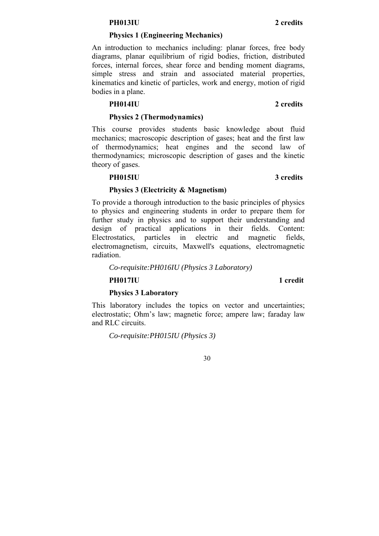### **PH013IU 2 credits**

### **Physics 1 (Engineering Mechanics)**

An introduction to mechanics including: planar forces, free body diagrams, planar equilibrium of rigid bodies, friction, distributed forces, internal forces, shear force and bending moment diagrams, simple stress and strain and associated material properties, kinematics and kinetic of particles, work and energy, motion of rigid bodies in a plane.

### **PH014IU 2 credits**

### **Physics 2 (Thermodynamics)**

This course provides students basic knowledge about fluid mechanics; macroscopic description of gases; heat and the first law of thermodynamics; heat engines and the second law of thermodynamics; microscopic description of gases and the kinetic theory of gases.

### **PH015IU 3 credits**

# **Physics 3 (Electricity & Magnetism)**

To provide a thorough introduction to the basic principles of physics to physics and engineering students in order to prepare them for further study in physics and to support their understanding and design of practical applications in their fields. Content: Electrostatics, particles in electric and magnetic fields, electromagnetism, circuits, Maxwell's equations, electromagnetic radiation.

### *Co-requisite:PH016IU (Physics 3 Laboratory)*

### **PH017IU** 1 credit

### **Physics 3 Laboratory**

This laboratory includes the topics on vector and uncertainties; electrostatic; Ohm's law; magnetic force; ampere law; faraday law and RLC circuits.

*Co-requisite:PH015IU (Physics 3)*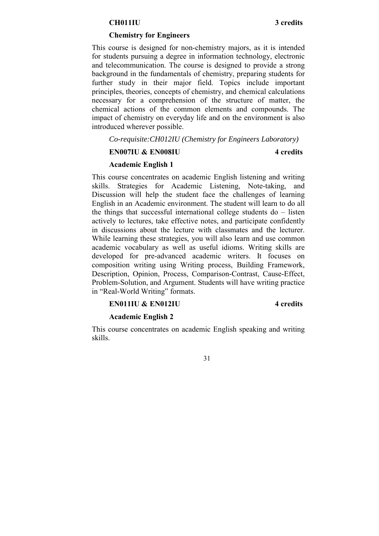### **CH011IU 3 credits**

### **Chemistry for Engineers**

This course is designed for non-chemistry majors, as it is intended for students pursuing a degree in information technology, electronic and telecommunication. The course is designed to provide a strong background in the fundamentals of chemistry, preparing students for further study in their major field. Topics include important principles, theories, concepts of chemistry, and chemical calculations necessary for a comprehension of the structure of matter, the chemical actions of the common elements and compounds. The impact of chemistry on everyday life and on the environment is also introduced wherever possible.

*Co-requisite:CH012IU (Chemistry for Engineers Laboratory)*

### **EN007IU & EN008IU 4 credits**

### **Academic English 1**

This course concentrates on academic English listening and writing skills. Strategies for Academic Listening, Note-taking, and Discussion will help the student face the challenges of learning English in an Academic environment. The student will learn to do all the things that successful international college students do – listen actively to lectures, take effective notes, and participate confidently in discussions about the lecture with classmates and the lecturer. While learning these strategies, you will also learn and use common academic vocabulary as well as useful idioms. Writing skills are developed for pre-advanced academic writers. It focuses on composition writing using Writing process, Building Framework, Description, Opinion, Process, Comparison-Contrast, Cause-Effect, Problem-Solution, and Argument. Students will have writing practice in "Real-World Writing" formats.

### **EN011IU & EN012IU 4 credits**

### **Academic English 2**

This course concentrates on academic English speaking and writing skills.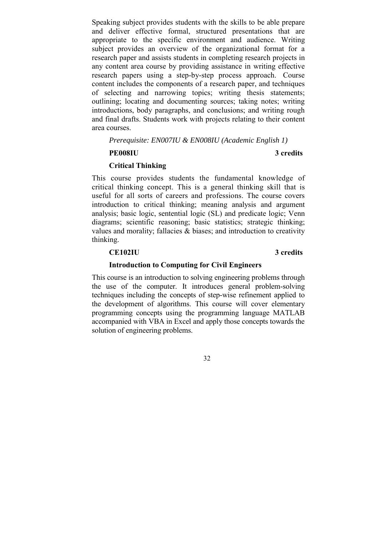Speaking subject provides students with the skills to be able prepare and deliver effective formal, structured presentations that are appropriate to the specific environment and audience. Writing subject provides an overview of the organizational format for a research paper and assists students in completing research projects in any content area course by providing assistance in writing effective research papers using a step-by-step process approach. Course content includes the components of a research paper, and techniques of selecting and narrowing topics; writing thesis statements; outlining; locating and documenting sources; taking notes; writing introductions, body paragraphs, and conclusions; and writing rough and final drafts. Students work with projects relating to their content area courses.

*Prerequisite: EN007IU & EN008IU (Academic English 1)* 

### **PE008IU 3 credits**

### **Critical Thinking**

This course provides students the fundamental knowledge of critical thinking concept. This is a general thinking skill that is useful for all sorts of careers and professions. The course covers introduction to critical thinking; meaning analysis and argument analysis; basic logic, sentential logic (SL) and predicate logic; Venn diagrams; scientific reasoning; basic statistics; strategic thinking; values and morality; fallacies & biases; and introduction to creativity thinking.

### **CE102IU 3 credits**

### **Introduction to Computing for Civil Engineers**

This course is an introduction to solving engineering problems through the use of the computer. It introduces general problem-solving techniques including the concepts of step-wise refinement applied to the development of algorithms. This course will cover elementary programming concepts using the programming language MATLAB accompanied with VBA in Excel and apply those concepts towards the solution of engineering problems.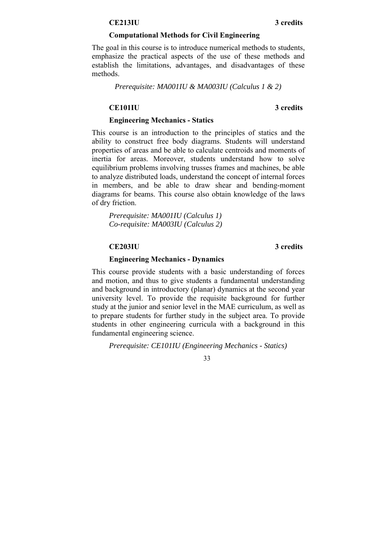### **CE213IU 3 credits**

### **Computational Methods for Civil Engineering**

The goal in this course is to introduce numerical methods to students, emphasize the practical aspects of the use of these methods and establish the limitations, advantages, and disadvantages of these methods.

*Prerequisite: MA001IU & MA003IU (Calculus 1 & 2)* 

### **CE101IU 3 credits**

### **Engineering Mechanics - Statics**

This course is an introduction to the principles of statics and the ability to construct free body diagrams. Students will understand properties of areas and be able to calculate centroids and moments of inertia for areas. Moreover, students understand how to solve equilibrium problems involving trusses frames and machines, be able to analyze distributed loads, understand the concept of internal forces in members, and be able to draw shear and bending-moment diagrams for beams. This course also obtain knowledge of the laws of dry friction.

*Prerequisite: MA001IU (Calculus 1) Co-requisite: MA003IU (Calculus 2)* 

### **CE203IU 3 credits**

### **Engineering Mechanics - Dynamics**

This course provide students with a basic understanding of forces and motion, and thus to give students a fundamental understanding and background in introductory (planar) dynamics at the second year university level. To provide the requisite background for further study at the junior and senior level in the MAE curriculum, as well as to prepare students for further study in the subject area. To provide students in other engineering curricula with a background in this fundamental engineering science.

*Prerequisite: CE101IU (Engineering Mechanics - Statics)*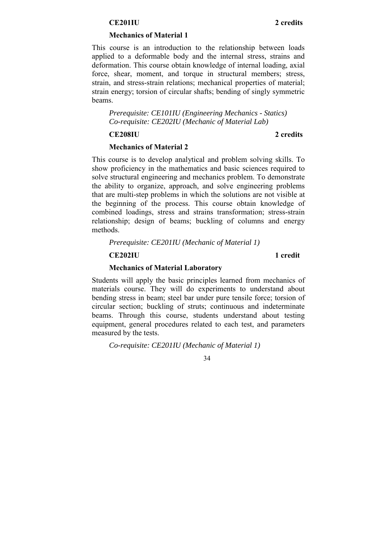### **CE201IU 2 credits**

### **Mechanics of Material 1**

This course is an introduction to the relationship between loads applied to a deformable body and the internal stress, strains and deformation. This course obtain knowledge of internal loading, axial force, shear, moment, and torque in structural members; stress, strain, and stress-strain relations; mechanical properties of material; strain energy; torsion of circular shafts; bending of singly symmetric beams.

*Prerequisite: CE101IU (Engineering Mechanics - Statics) Co-requisite: CE202IU (Mechanic of Material Lab)* 

### **CE208IU 2 credits**

### **Mechanics of Material 2**

This course is to develop analytical and problem solving skills. To show proficiency in the mathematics and basic sciences required to solve structural engineering and mechanics problem. To demonstrate the ability to organize, approach, and solve engineering problems that are multi-step problems in which the solutions are not visible at the beginning of the process. This course obtain knowledge of combined loadings, stress and strains transformation; stress-strain relationship; design of beams; buckling of columns and energy methods.

*Prerequisite: CE201IU (Mechanic of Material 1)* 

**CE202IU 1 credit** 

### **Mechanics of Material Laboratory**

Students will apply the basic principles learned from mechanics of materials course. They will do experiments to understand about bending stress in beam; steel bar under pure tensile force; torsion of circular section; buckling of struts; continuous and indeterminate beams. Through this course, students understand about testing equipment, general procedures related to each test, and parameters measured by the tests.

*Co-requisite: CE201IU (Mechanic of Material 1)*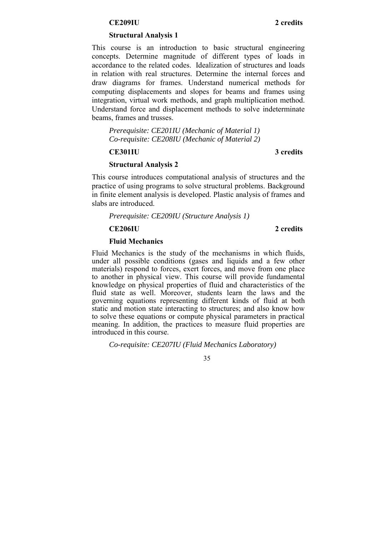### **CE209IU 2 credits**

### **Structural Analysis 1**

This course is an introduction to basic structural engineering concepts. Determine magnitude of different types of loads in accordance to the related codes. Idealization of structures and loads in relation with real structures. Determine the internal forces and draw diagrams for frames. Understand numerical methods for computing displacements and slopes for beams and frames using integration, virtual work methods, and graph multiplication method. Understand force and displacement methods to solve indeterminate beams, frames and trusses.

*Prerequisite: CE201IU (Mechanic of Material 1) Co-requisite: CE208IU (Mechanic of Material 2)* 

### **CE301IU 3 credits**

### **Structural Analysis 2**

This course introduces computational analysis of structures and the practice of using programs to solve structural problems. Background in finite element analysis is developed. Plastic analysis of frames and slabs are introduced.

*Prerequisite: CE209IU (Structure Analysis 1)* 

**CE206IU 2 credits** 

### **Fluid Mechanics**

Fluid Mechanics is the study of the mechanisms in which fluids, under all possible conditions (gases and liquids and a few other materials) respond to forces, exert forces, and move from one place to another in physical view. This course will provide fundamental knowledge on physical properties of fluid and characteristics of the fluid state as well. Moreover, students learn the laws and the governing equations representing different kinds of fluid at both static and motion state interacting to structures; and also know how to solve these equations or compute physical parameters in practical meaning. In addition, the practices to measure fluid properties are introduced in this course.

*Co-requisite: CE207IU (Fluid Mechanics Laboratory)*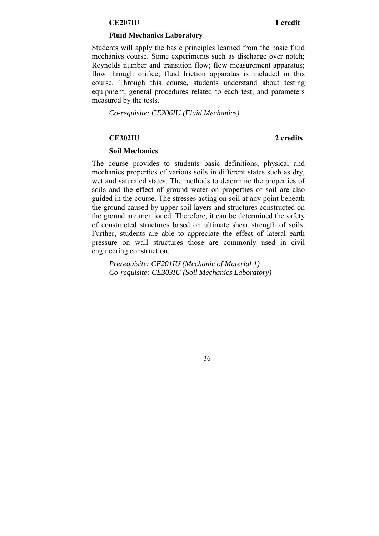### **CE207IU 1 credit**

### **Fluid Mechanics Laboratory**

Students will apply the basic principles learned from the basic fluid mechanics course. Some experiments such as discharge over notch; Reynolds number and transition flow; flow measurement apparatus; flow through orifice; fluid friction apparatus is included in this course. Through this course, students understand about testing equipment, general procedures related to each test, and parameters measured by the tests.

*Co-requisite: CE206IU (Fluid Mechanics)* 

### **CE302IU 2 credits**

### **Soil Mechanics**

The course provides to students basic definitions, physical and mechanics properties of various soils in different states such as dry, wet and saturated states. The methods to determine the properties of soils and the effect of ground water on properties of soil are also guided in the course. The stresses acting on soil at any point beneath the ground caused by upper soil layers and structures constructed on the ground are mentioned. Therefore, it can be determined the safety of constructed structures based on ultimate shear strength of soils. Further, students are able to appreciate the effect of lateral earth pressure on wall structures those are commonly used in civil engineering construction.

*Prerequisite: CE201IU (Mechanic of Material 1) Co-requisite: CE303IU (Soil Mechanics Laboratory)*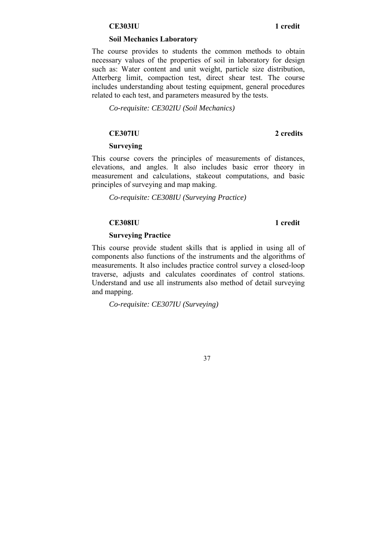### **CE303IU 1 credit**

### **Soil Mechanics Laboratory**

The course provides to students the common methods to obtain necessary values of the properties of soil in laboratory for design such as: Water content and unit weight, particle size distribution, Atterberg limit, compaction test, direct shear test. The course includes understanding about testing equipment, general procedures related to each test, and parameters measured by the tests.

*Co-requisite: CE302IU (Soil Mechanics)* 

### **CE307IU 2 credits**

### **Surveying**

This course covers the principles of measurements of distances, elevations, and angles. It also includes basic error theory in measurement and calculations, stakeout computations, and basic principles of surveying and map making.

*Co-requisite: CE308IU (Surveying Practice)* 

### **CE308IU 1 credit**

### **Surveying Practice**

This course provide student skills that is applied in using all of components also functions of the instruments and the algorithms of measurements. It also includes practice control survey a closed-loop traverse, adjusts and calculates coordinates of control stations. Understand and use all instruments also method of detail surveying and mapping.

*Co-requisite: CE307IU (Surveying)*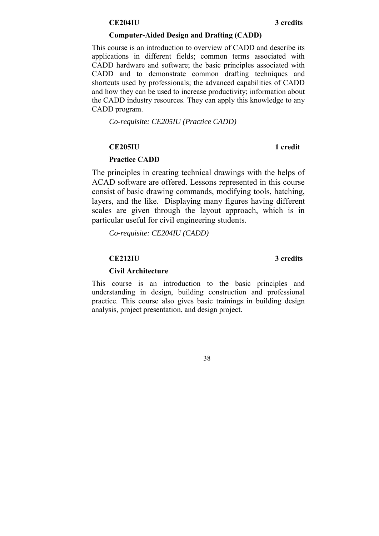### **CE204IU 3 credits**

### **Computer-Aided Design and Drafting (CADD)**

This course is an introduction to overview of CADD and describe its applications in different fields; common terms associated with CADD hardware and software; the basic principles associated with CADD and to demonstrate common drafting techniques and shortcuts used by professionals; the advanced capabilities of CADD and how they can be used to increase productivity; information about the CADD industry resources. They can apply this knowledge to any CADD program.

*Co-requisite: CE205IU (Practice CADD)* 

### **CE205IU 1 credit**

### **Practice CADD**

The principles in creating technical drawings with the helps of ACAD software are offered. Lessons represented in this course consist of basic drawing commands, modifying tools, hatching, layers, and the like. Displaying many figures having different scales are given through the layout approach, which is in particular useful for civil engineering students.

*Co-requisite: CE204IU (CADD)* 

### **CE212IU 3 credits**

### **Civil Architecture**

This course is an introduction to the basic principles and understanding in design, building construction and professional practice. This course also gives basic trainings in building design analysis, project presentation, and design project.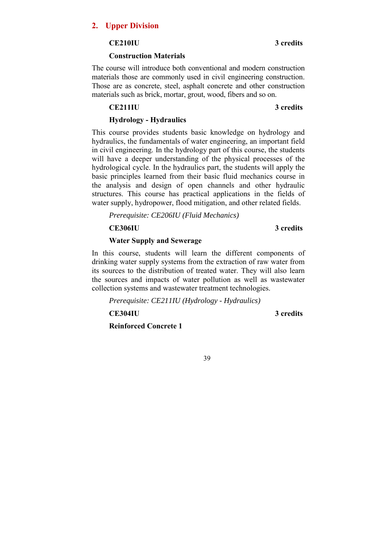### **2. Upper Division**

### **CE210IU 3 credits**

### **Construction Materials**

The course will introduce both conventional and modern construction materials those are commonly used in civil engineering construction. Those are as concrete, steel, asphalt concrete and other construction materials such as brick, mortar, grout, wood, fibers and so on.

### **CE211IU 3 credits**

### **Hydrology - Hydraulics**

This course provides students basic knowledge on hydrology and hydraulics, the fundamentals of water engineering, an important field in civil engineering. In the hydrology part of this course, the students will have a deeper understanding of the physical processes of the hydrological cycle. In the hydraulics part, the students will apply the basic principles learned from their basic fluid mechanics course in the analysis and design of open channels and other hydraulic structures. This course has practical applications in the fields of water supply, hydropower, flood mitigation, and other related fields.

*Prerequisite: CE206IU (Fluid Mechanics)* 

### **CE306IU 3 credits**

### **Water Supply and Sewerage**

In this course, students will learn the different components of drinking water supply systems from the extraction of raw water from its sources to the distribution of treated water. They will also learn the sources and impacts of water pollution as well as wastewater collection systems and wastewater treatment technologies.

*Prerequisite: CE211IU (Hydrology - Hydraulics)* 

**CE304IU 3 credits** 

**Reinforced Concrete 1**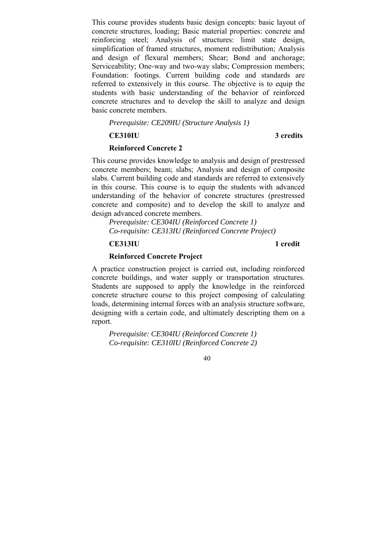This course provides students basic design concepts: basic layout of concrete structures, loading; Basic material properties: concrete and reinforcing steel; Analysis of structures: limit state design, simplification of framed structures, moment redistribution; Analysis and design of flexural members; Shear; Bond and anchorage; Serviceability; One-way and two-way slabs; Compression members; Foundation: footings. Current building code and standards are referred to extensively in this course. The objective is to equip the students with basic understanding of the behavior of reinforced concrete structures and to develop the skill to analyze and design basic concrete members.

*Prerequisite: CE209IU (Structure Analysis 1)* 

### **CE310IU 3 credits**

### **Reinforced Concrete 2**

This course provides knowledge to analysis and design of prestressed concrete members; beam; slabs; Analysis and design of composite slabs. Current building code and standards are referred to extensively in this course. This course is to equip the students with advanced understanding of the behavior of concrete structures (prestressed concrete and composite) and to develop the skill to analyze and design advanced concrete members.

*Prerequisite: CE304IU (Reinforced Concrete 1) Co-requisite: CE313IU (Reinforced Concrete Project)* 

### **CE313IU 1 credit**

### **Reinforced Concrete Project**

A practice construction project is carried out, including reinforced concrete buildings, and water supply or transportation structures. Students are supposed to apply the knowledge in the reinforced concrete structure course to this project composing of calculating loads, determining internal forces with an analysis structure software, designing with a certain code, and ultimately descripting them on a report.

*Prerequisite: CE304IU (Reinforced Concrete 1) Co-requisite: CE310IU (Reinforced Concrete 2)*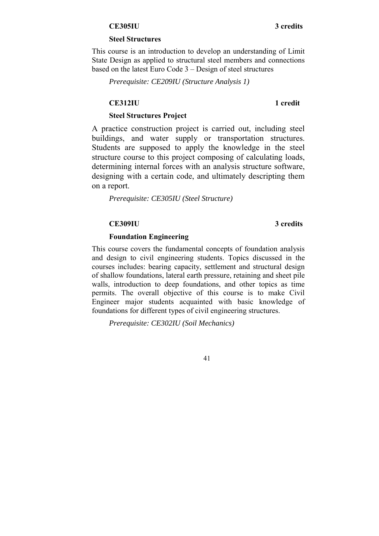### **CE305IU 3 credits**

### **Steel Structures**

This course is an introduction to develop an understanding of Limit State Design as applied to structural steel members and connections based on the latest Euro Code 3 – Design of steel structures

*Prerequisite: CE209IU (Structure Analysis 1)* 

### **CE312IU 1 credit**

### **Steel Structures Project**

A practice construction project is carried out, including steel buildings, and water supply or transportation structures. Students are supposed to apply the knowledge in the steel structure course to this project composing of calculating loads, determining internal forces with an analysis structure software, designing with a certain code, and ultimately descripting them on a report.

*Prerequisite: CE305IU (Steel Structure)* 

### **CE309IU 3 credits**

### **Foundation Engineering**

This course covers the fundamental concepts of foundation analysis and design to civil engineering students. Topics discussed in the courses includes: bearing capacity, settlement and structural design of shallow foundations, lateral earth pressure, retaining and sheet pile walls, introduction to deep foundations, and other topics as time permits. The overall objective of this course is to make Civil Engineer major students acquainted with basic knowledge of foundations for different types of civil engineering structures.

*Prerequisite: CE302IU (Soil Mechanics)*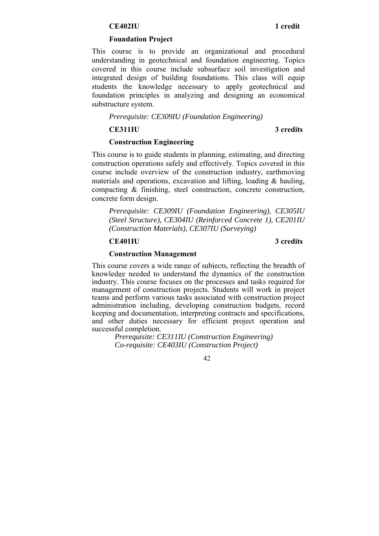### **CE402IU 1 credit**

### **Foundation Project**

This course is to provide an organizational and procedural understanding in geotechnical and foundation engineering. Topics covered in this course include subsurface soil investigation and integrated design of building foundations. This class will equip students the knowledge necessary to apply geotechnical and foundation principles in analyzing and designing an economical substructure system.

*Prerequisite: CE309IU (Foundation Engineering)* 

**CE311IU 3 credits** 

### **Construction Engineering**

This course is to guide students in planning, estimating, and directing construction operations safely and effectively. Topics covered in this course include overview of the construction industry, earthmoving materials and operations, excavation and lifting, loading & hauling, compacting & finishing, steel construction, concrete construction, concrete form design.

*Prerequisite: CE309IU (Foundation Engineering), CE305IU (Steel Structure), CE304IU (Reinforced Concrete 1), CE201IU (Construction Materials), CE307IU (Surveying)* 

### **CE401IU 3 credits**

### **Construction Management**

This course covers a wide range of subjects, reflecting the breadth of knowledge needed to understand the dynamics of the construction industry. This course focuses on the processes and tasks required for management of construction projects. Students will work in project teams and perform various tasks associated with construction project administration including, developing construction budgets, record keeping and documentation, interpreting contracts and specifications, and other duties necessary for efficient project operation and successful completion.

> *Prerequisite: CE311IU (Construction Engineering) Co-requisite: CE403IU (Construction Project)*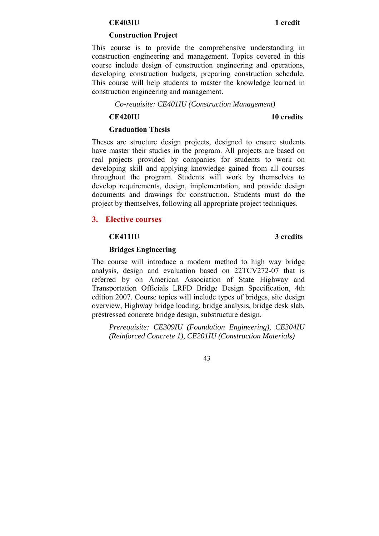### **CE403IU 1 credit**

### **Construction Project**

This course is to provide the comprehensive understanding in construction engineering and management. Topics covered in this course include design of construction engineering and operations, developing construction budgets, preparing construction schedule. This course will help students to master the knowledge learned in construction engineering and management.

### *Co-requisite: CE401IU (Construction Management)*

**CE420IU 10 credits** 

### **Graduation Thesis**

Theses are structure design projects, designed to ensure students have master their studies in the program. All projects are based on real projects provided by companies for students to work on developing skill and applying knowledge gained from all courses throughout the program. Students will work by themselves to develop requirements, design, implementation, and provide design documents and drawings for construction. Students must do the project by themselves, following all appropriate project techniques.

### **3. Elective courses**

### **CE411IU 3 credits**

### **Bridges Engineering**

The course will introduce a modern method to high way bridge analysis, design and evaluation based on 22TCV272-07 that is referred by on American Association of State Highway and Transportation Officials LRFD Bridge Design Specification, 4th edition 2007. Course topics will include types of bridges, site design overview, Highway bridge loading, bridge analysis, bridge desk slab, prestressed concrete bridge design, substructure design.

*Prerequisite: CE309IU (Foundation Engineering), CE304IU (Reinforced Concrete 1), CE201IU (Construction Materials)*